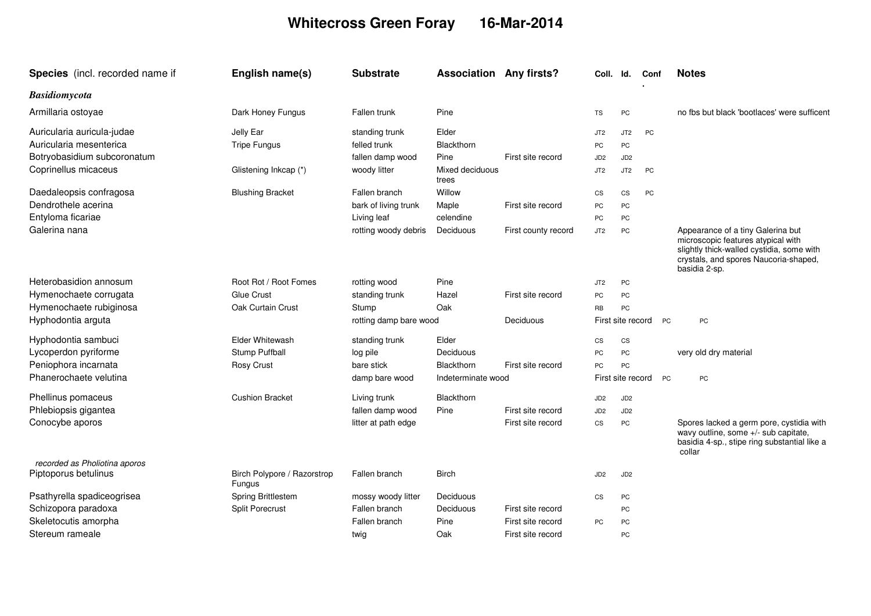## **Whitecross Green Foray 16-Mar-2014**

| Species (incl. recorded name if                  | English name(s)                              | <b>Substrate</b>                    | <b>Association Any firsts?</b> |                     | Coll.             | ld.               | Conf |           | <b>Notes</b>                                                                                                                                                                   |
|--------------------------------------------------|----------------------------------------------|-------------------------------------|--------------------------------|---------------------|-------------------|-------------------|------|-----------|--------------------------------------------------------------------------------------------------------------------------------------------------------------------------------|
| <b>Basidiomycota</b>                             |                                              |                                     |                                |                     |                   |                   |      |           |                                                                                                                                                                                |
| Armillaria ostoyae                               | Dark Honey Fungus                            | Fallen trunk                        | Pine                           |                     | TS                | PC                |      |           | no fbs but black 'bootlaces' were sufficent                                                                                                                                    |
| Auricularia auricula-judae                       | Jelly Ear                                    | standing trunk                      | Elder                          |                     | JT <sub>2</sub>   | JT <sub>2</sub>   | PC   |           |                                                                                                                                                                                |
| Auricularia mesenterica                          | <b>Tripe Fungus</b>                          | felled trunk                        | <b>Blackthorn</b>              |                     | PC                | PC                |      |           |                                                                                                                                                                                |
| Botryobasidium subcoronatum                      |                                              | fallen damp wood                    | Pine                           | First site record   | JD <sub>2</sub>   | JD <sub>2</sub>   |      |           |                                                                                                                                                                                |
| Coprinellus micaceus                             | Glistening Inkcap (*)                        | woody litter                        | Mixed deciduous<br>trees       |                     | JT <sub>2</sub>   | JT <sub>2</sub>   | PC   |           |                                                                                                                                                                                |
| Daedaleopsis confragosa                          | <b>Blushing Bracket</b>                      | Fallen branch                       | Willow                         |                     | CS                | CS                | PC   |           |                                                                                                                                                                                |
| Dendrothele acerina                              |                                              | bark of living trunk                | Maple                          | First site record   | PC                | PC                |      |           |                                                                                                                                                                                |
| Entyloma ficariae                                |                                              | Living leaf                         | celendine                      |                     | PC                | PC                |      |           |                                                                                                                                                                                |
| Galerina nana                                    |                                              | rotting woody debris                | Deciduous                      | First county record | JT2               | PC                |      |           | Appearance of a tiny Galerina but<br>microscopic features atypical with<br>slightly thick-walled cystidia, some with<br>crystals, and spores Naucoria-shaped,<br>basidia 2-sp. |
| Heterobasidion annosum                           | Root Rot / Root Fomes                        | rotting wood                        | Pine                           |                     | JT <sub>2</sub>   | PC                |      |           |                                                                                                                                                                                |
| Hymenochaete corrugata                           | Glue Crust                                   | standing trunk                      | Hazel                          | First site record   | PC                | PC                |      |           |                                                                                                                                                                                |
| Hymenochaete rubiginosa                          | Oak Curtain Crust                            | Stump                               | Oak                            |                     | <b>RB</b>         | PC                |      |           |                                                                                                                                                                                |
| Hyphodontia arguta                               |                                              | rotting damp bare wood<br>Deciduous |                                |                     | First site record |                   |      | <b>PC</b> | PC                                                                                                                                                                             |
| Hyphodontia sambuci                              | Elder Whitewash                              | standing trunk                      | Elder                          |                     | CS                | CS                |      |           |                                                                                                                                                                                |
| Lycoperdon pyriforme                             | Stump Puffball                               | log pile                            | Deciduous                      |                     | PC                | PC                |      |           | very old dry material                                                                                                                                                          |
| Peniophora incarnata                             | Rosy Crust                                   | bare stick                          | <b>Blackthorn</b>              | First site record   | PC                | PC                |      |           |                                                                                                                                                                                |
| Phanerochaete velutina                           |                                              | damp bare wood                      | Indeterminate wood             |                     |                   | First site record |      | <b>PC</b> | PC                                                                                                                                                                             |
| Phellinus pomaceus                               | <b>Cushion Bracket</b>                       | Living trunk                        | <b>Blackthorn</b>              |                     | JD <sub>2</sub>   | JD <sub>2</sub>   |      |           |                                                                                                                                                                                |
| Phlebiopsis gigantea                             |                                              | fallen damp wood                    | Pine                           | First site record   | JD <sub>2</sub>   | JD <sub>2</sub>   |      |           |                                                                                                                                                                                |
| Conocybe aporos<br>recorded as Pholiotina aporos |                                              | litter at path edge                 |                                | First site record   | CS                | PC                |      |           | Spores lacked a germ pore, cystidia with<br>wavy outline, some +/- sub capitate,<br>basidia 4-sp., stipe ring substantial like a<br>collar                                     |
| Piptoporus betulinus                             | Birch Polypore / Razorstrop<br><b>Fungus</b> | Fallen branch                       | <b>Birch</b>                   |                     | JD <sub>2</sub>   | JD <sub>2</sub>   |      |           |                                                                                                                                                                                |
| Psathyrella spadiceogrisea                       | Spring Brittlestem                           | mossy woody litter                  | Deciduous                      |                     | CS                | PC                |      |           |                                                                                                                                                                                |
| Schizopora paradoxa                              | <b>Split Porecrust</b>                       | Fallen branch                       | Deciduous                      | First site record   |                   | PC                |      |           |                                                                                                                                                                                |
| Skeletocutis amorpha                             |                                              | Fallen branch                       | Pine                           | First site record   | PC                | PC                |      |           |                                                                                                                                                                                |
| Stereum rameale                                  |                                              | twig                                | Oak                            | First site record   |                   | PC                |      |           |                                                                                                                                                                                |